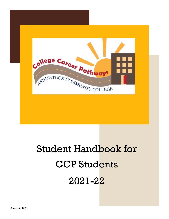

# Student Handbook for CCP Students 2021-22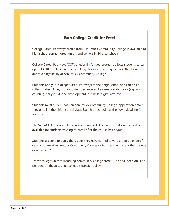### **Earn College Credit for Free!**

College Career Pathways credit, from Asnuntuck Community College, is available to high school sophomores, juniors and seniors in 10 area schools.

College Career Pathways (CCP), a federally funded program, allows students to earn up to 13 FREE college credits, by taking classes at their high school, that have been approved by faculty at Asnuntuck Community College.

Students apply for College Career Pathways at their high school and can be enrolled in disciplines, including math, science and a career-related area (e.g. accounting, early childhood development, business, digital arts, etc.).

Students must fill out both an Asnuntuck Community College application before they enroll in their high school class. Each high school has their own deadline for applying.

The \$20 ACC Application fee is waived. An add/drop and withdrawal period is available for students wishing to enroll after the course has begun.

Students are able to apply the credits they have earned toward a degree or certificate program at Asnuntuck Community College or transfer them to another college or university.\*

\*Most colleges accept incoming community college credit. The final decision is dependent on the accepting college's transfer policy.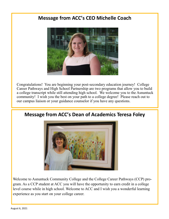## **Message from ACC's CEO Michelle Coach**



Congratulations! You are beginning your post-secondary education journey! College Career Pathways and High School Partnership are two programs that allow you to build a college transcript while still attending high school. We welcome you to the Asnuntuck community! I wish you the best on your path to a college degree! Please reach out to our campus liaison or your guidance counselor if you have any questions.



**Message from ACC's Dean of Academics Teresa Foley**

Welcome to Asnuntuck Community College and the College Career Pathways (CCP) program. As a CCP student at ACC you will have the opportunity to earn credit in a college level course while in high school. Welcome to ACC and I wish you a wonderful learning experience as you start on your college career.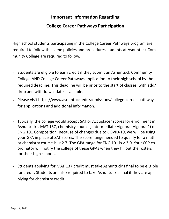# **Important Information Regarding College Career Pathways Participation**

High school students participating in the College Career Pathways program are required to follow the same policies and procedures students at Asnuntuck Community College are required to follow.

- Students are eligible to earn credit if they submit an Asnuntuck Community College AND College Career Pathways application to their high school by the required deadline. This deadline will be prior to the start of classes, with add/ drop and withdrawal dates available.
- Please visit https://www.asnuntuck.edu/admissions/college-career-pathways for applications and additional information.
- Typically, the college would accept SAT or Accuplacer scores for enrollment in Asnuntuck's MAT 137, chemistry courses, Intermediate Algebra (Algebra 2) or ENG 101 Composition. Because of changes due to COVID-19, we will be using your GPA in place of SAT scores. The score range needed to qualify for a math or chemistry course is  $\geq$  2.7. The GPA range for ENG 101 is  $\geq$  3.0. Your CCP coordinator will notify the college of these GPAs when they fill out the rosters for their high schools.
- Students applying for MAT 137 credit must take Asnuntuck's final to be eligible for credit. Students are also required to take Asnuntuck's final if they are applying for chemistry credit.